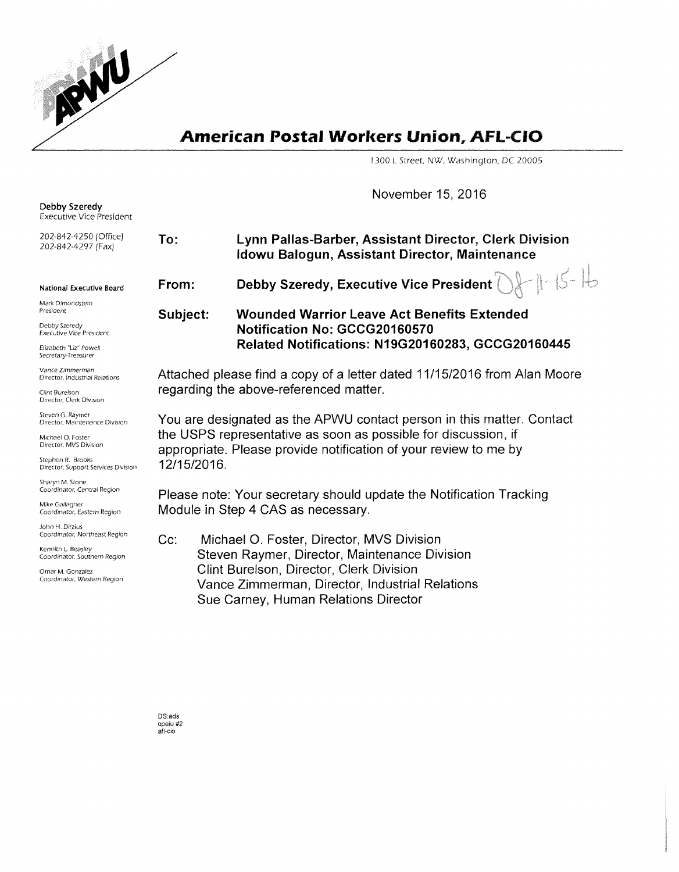

l 300 L Street, NW, Washington, DC 20005

## November 15, 2016

| 202-842-4250 (Office)<br>202-842-4297 (Fax)              | To:                                                                                                                                                                                                                        | Lynn Pallas-Barber, Assistant Director, Clerk Division<br>Idowu Balogun, Assistant Director, Maintenance                            |  |
|----------------------------------------------------------|----------------------------------------------------------------------------------------------------------------------------------------------------------------------------------------------------------------------------|-------------------------------------------------------------------------------------------------------------------------------------|--|
| National Executive Board                                 | From:                                                                                                                                                                                                                      | Debby Szeredy, Executive Vice President                                                                                             |  |
| Mark Dimondstein<br>President                            | Subject:                                                                                                                                                                                                                   | <b>Wounded Warrior Leave Act Benefits Extended</b><br>Notification No: GCCG20160570                                                 |  |
| Debby Szeredy<br><b>Executive Vice President</b>         |                                                                                                                                                                                                                            |                                                                                                                                     |  |
| Elizabeth "Liz" Powell<br>Secretary-Treasurer            |                                                                                                                                                                                                                            | <b>Related Notifications: N19G20160283, GCCG20160445</b>                                                                            |  |
| Vance Zimmerman<br>Director, Industrial Relations        | Attached please find a copy of a letter dated 11/15/2016 from Alan Moore<br>regarding the above-referenced matter.                                                                                                         |                                                                                                                                     |  |
| Clint Burelson<br>Director, Clerk Division               |                                                                                                                                                                                                                            |                                                                                                                                     |  |
| Steven G. Raymer<br>Director, Maintenance Division       | You are designated as the APWU contact person in this matter. Contact<br>the USPS representative as soon as possible for discussion, if<br>appropriate. Please provide notification of your review to me by<br>12/15/2016. |                                                                                                                                     |  |
| Michael O. Foster<br>Director, MVS Division              |                                                                                                                                                                                                                            |                                                                                                                                     |  |
| Stephen R. Brooks<br>Director, Support Services Division |                                                                                                                                                                                                                            |                                                                                                                                     |  |
| Sharyn M. Stone<br>Coordinator, Central Region           | Please note: Your secretary should update the Notification Tracking<br>Module in Step 4 CAS as necessary.                                                                                                                  |                                                                                                                                     |  |
| Mike Gallagher<br>Coordinator, Eastern Region            |                                                                                                                                                                                                                            |                                                                                                                                     |  |
| John H. Dirzius<br>Coordinator, Northeast Region         | $Cc$ :                                                                                                                                                                                                                     | Michael O. Foster, Director, MVS Division<br>Steven Raymer, Director, Maintenance Division                                          |  |
| Kennith L. Beasley<br>Coordinator, Southern Region       |                                                                                                                                                                                                                            |                                                                                                                                     |  |
| Omar M. Gonzalez<br>Coordinator, Western Region          |                                                                                                                                                                                                                            | Clint Burelson, Director, Clerk Division<br>Vance Zimmerman, Director, Industrial Relations<br>Sue Carney, Human Relations Director |  |
|                                                          |                                                                                                                                                                                                                            |                                                                                                                                     |  |

DS:ads opeiu #2 afl-cio

Debby Szeredy Executive Vice President

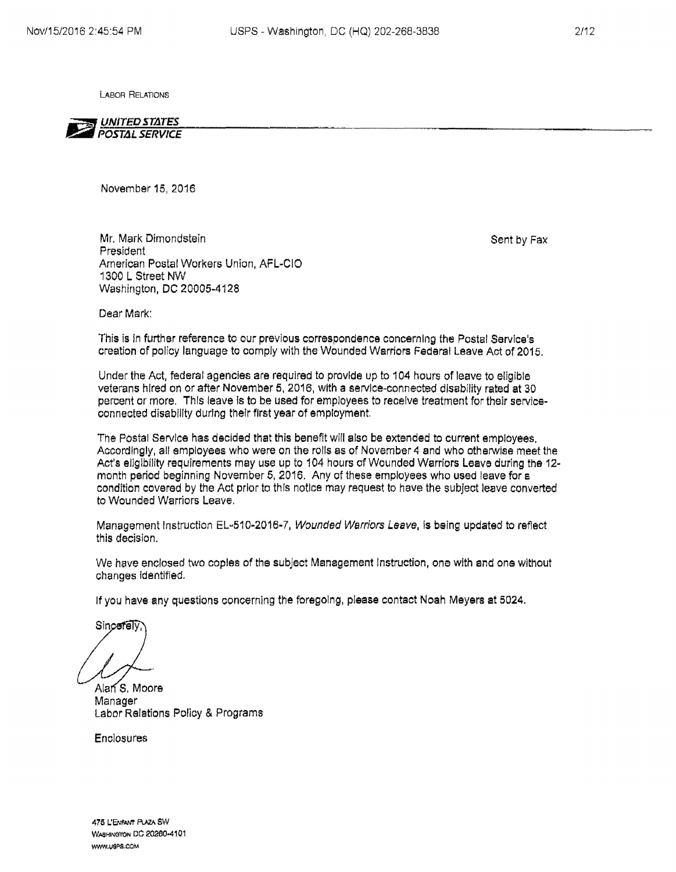lABOR RELATIONS



November 15, 2016

Mr. Mark Dimondstein President American Postal Workers Union, AFL-CIO 1300 L Street NW Washington, DC 20005-4128

Sent by Fax

Dear Mark:

This is In further reference to our previous correspondence concerning the Postal Service's creation of policy language to comply with the Wounded Warriors Federal Leave Act of 2015.

Under the Act, federal agencies are required to provide up to 104 hours of leave to eligible veterans hired on or after November 5, 2016, with a service-connected disability rated at 30 percent or more. This leave Is to be used for employees to receive treatment for their serviceconnected disability during their first year of employment.

The Postal Service has decided that this benefit will also be extended to current employees. Accordingly, all employees who were on the rolls as of November 4 and who otherwise meet the Act's eligibility requirements may use up to 104 hours of Wounded Warriors Leave during the 12month period beginning November 5, 2016. Any of these employees who used leave for a condition covered by the Act prior to this notice may request to have the subject leave converted to Wounded Warriors Leave.

Management Instruction EL-510-2016-7, Wounded Warriors Leave, is being updated to reflect this decision.

We have enclosed two copies of the subject Management Instruction, one with and one without changes Identified.

If you have any questions concerning the foregoing, please contact Noah Meyers at 5024.

Sincefely

Alan<sup>S</sup>. Moore Manager Labor Relations Policy & Programs

**Enclosures** 

475 L'ENFANT PLAZA SW WABHINGTON DC 20280-4101 WWW.~I"S.COM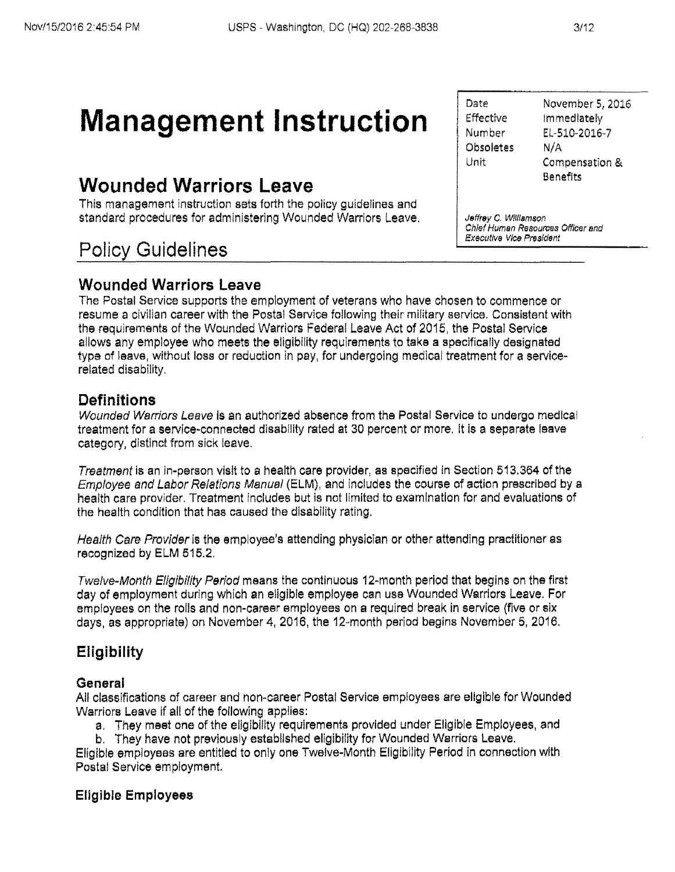# **Management Instruction**

# **Wounded Warriors Leave**

This management instruction sets forth the policy guidelines and standard procedures for administering Wounded Warriors Leave.

# Policy Guidelines

## Wounded Warriors Leave

The Postal Service supports the employment of veterans who have chosen to commence or resume a civilian career with the Postal Service following their military service. Consistent with the requirements of the Wounded Warriors Federal Leave Act of 2015, the Postal Service allows any employee who meets the eligibility requirements to take a specifically designated type of leave, without loss or reduction in pay, for undergoing medical treatment for a service~ related disability.

## Definitions

Wounded Warriors Leave Is an authorized absence from the Postal Service to undergo medical treatment for a service-connected disability rated at 30 percent or more. It is a separate leave category, distinct from sick leave.

Treatment is an ln-person visit to a health care provider, as specified in Section 513.364 of the Employee and Labor Relations Manual (ELM), and includes the course of action prescribed by a health care provider. Treatment includes but is not limited to examination for and evaluations of the health condition that has caused the disability rating.

Health Care Provider is the employee's attending physician or other attending practitioner as recognized by ELM 515.2.

Twelve-Month Eligibility Period means the continuous 12-month period that begins on the first day of employment during which an eligible employee can use Wounded Warriors Leave. For employees on the rolls and non-career employees on a required break in service (five or six days, as appropriate) on November 4, 2016, the 12~month period begins November 5, 2016.

## **Eligibility**

## **General**

All classifications of career and non-career Postal Service employees are eligible for Wounded Warriors Leave if all of the following applies:

a. They meet one of the eligibility requirements provided under Eligible Employees, and

b. They have not previously established eligibility for Wounded Warriors Leave. Eligible employees are entitled to only one Twelve-Month Eligibility Period in connection with Postal Service employment.

## Eligible Employees

Date: Effective Number Obsoletes Unit November 5, 2016 Immediately EL-510-2016-7 N/A Compensation & Benefits

Jeffrey C. Williamson Chief Human Resources Officer and ExecutiVe Vice Presfdent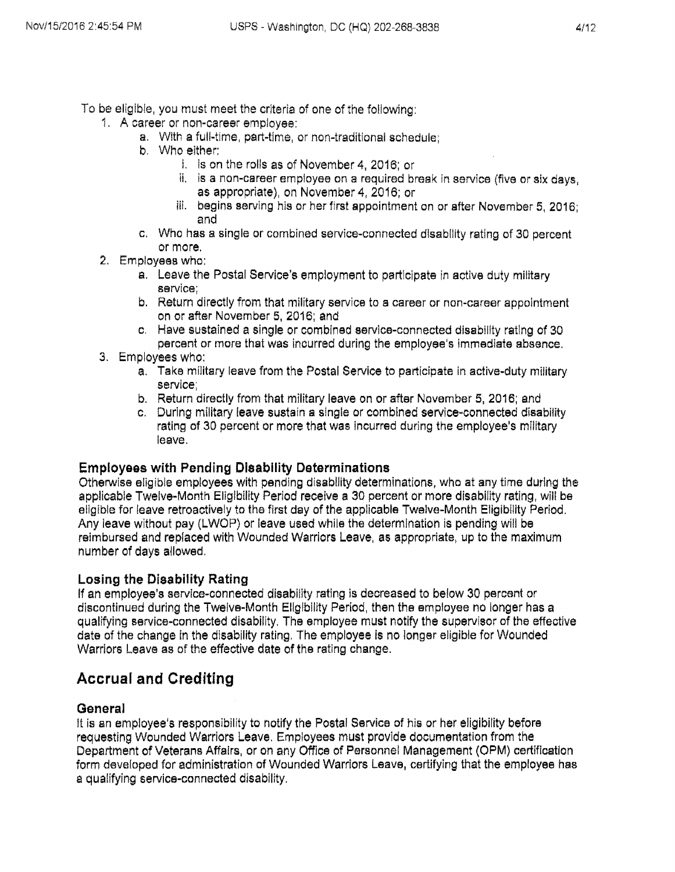To be ellglble, you must meet the criteria of one of the following:

- 1. A career or non-career employee:
	- a. With a full-time, part-time, or non-traditional schedule;
	- b. Who either:
		- I. ls on the rolls as of November 4, 2016; or
		- ii. is a non-career employee on a required break in service (five or six days, as appropriate), on November 4, 2016; or
		- iii. begins serving his or her first appointment on or after November 5, 2016; and
	- c. Who has a single or combined service-connected disability rating of 30 percent or more.
- 2. Employees who:
	- a. Leave the Postal Service's employment to participate in active duty military service;
	- b. Return directly from that military service to a career or non-career appointment on or after November 5, 2016; and
	- c. Have sustained a single or combined service-connected disability rating of 30 percent or more that was incurred during the employee's immediate absence.
- 3. Employees who:
	- a. Take military leave from the Postal Service to participate in active-duty military service;
	- b. Return directly from that military leave on or after November 5, 2016; and
	- c. During military leave sustain a single or combined service-connected disability rating of 30 percent or more that was incurred during the employee's military leave.

## **Employees with Pending Disability Determinations**

Otherwise eligible employees with pending disability determinations, who at any time during the applicable Twelve-Month Eligibility Period receive a 30 percent or more disability rating, will be eligible for leave retroactively to the first day of the applicable Twelve-Month Eligibility Period. Any leave without pay (LWOP) or leave used while the determination is pending will be reimbursed and replaced with Wounded Warriors Leave, as appropriate, up to the maximum number of days allowed.

## **Losing the Disability Rating**

If an employee's service-connected disability rating is decreased to below 30 percent or discontinued during the Twelve-Month Eligibility Period, then the employee no longer has a qualifying service-connected disability. The employee must notify the supervisor of the effective date of the change in the disability rating. The employee is no longer eligible for Wounded Warriors Leave as of the effective date of the rating change.

## **Accrual and Crediting**

## **General**

It is an employee's responsibility to notify the Postal Service of his or her eligibility before requesting Wounded Warriors Leave. Employees must provide documentation from the Department of Veterans Affairs, or on any Office of Personnel Management (OPM) certification form developed for administration of Wounded Warriors Leave, certifying that the employee has a qualifying service-connected disability.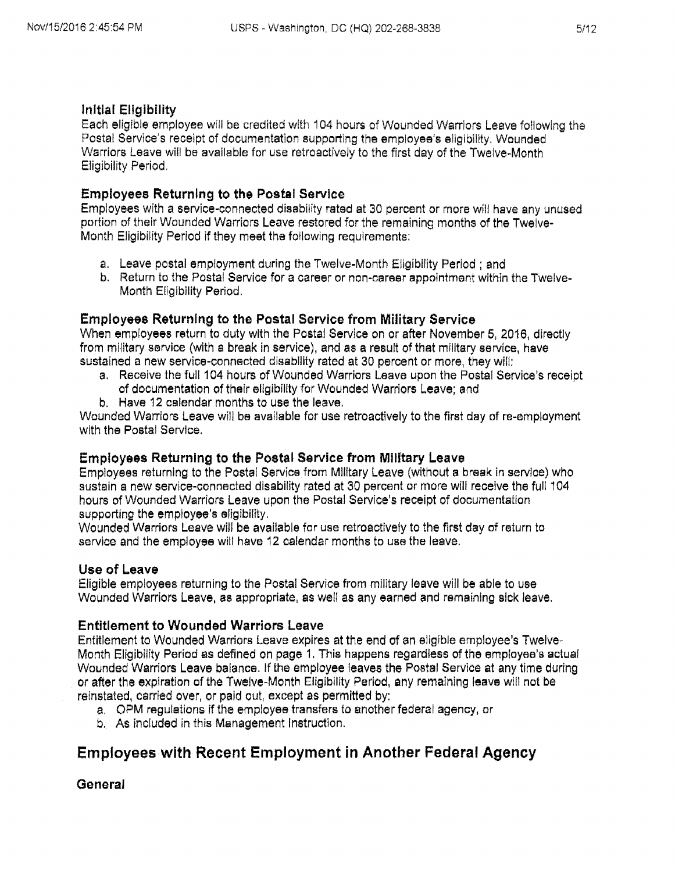#### Initial Eligibility

Each eligible employee will be credited with 104 hours of Wounded Warriors Leave following the Posta! Service's receipt of documentation supporting the employee's eligibility. Wounded Warriors Leave will be available for use retroactively to the first day of the Twelve-Month Eligibility Period.

### Employees Returning to the Postal Service

Employees with a service-connected disability rated at 30 percent or more will have any unused portion of their Wounded Warriors Leave restored for the remaining months of the Twelve-Month Eligibility Period if they meet the following requirements:

- a. Leave postal employment during the Twelve-Month Eligibility Period ; and
- b. Return to the Postal Service for a career or non-career appointment within the Twelve-Month Eligibility Period.

### Employees Returning to the Postal Service from Military Service

When employees return to duty with the Postal Service on or after November 5, 2016, directly from military service (with a break in service), and as a result of that military service, have sustained a new service-connected disability rated at 30 percent or more, they will:

- a. Receive the full 104 hours of Wounded Warriors Leave upon the Postal Service's receipt of documentation of their eligibility for Wounded Warriors Leave; and
- b. Have 12 calendar months to use the leave.

Wounded Warriors Leave will be available for use retroactively to the first day of re-employment with the Postal Service.

#### Employees Returning to the Postal Service from Military Leave

Employees returning to the Posta! Service from Military Leave (without a break in service) who sustain a new service-connected disability rated at 30 percent or more will receive the full 104 hours of Wounded Warriors Leave upon the Postal Service's receipt of documentation supporting the employee's eligibility.

Wounded Warriors Leave will be available for use retroactively to the first day of return to service and the employee will have 12 calendar months to use the leave.

#### Use of Leave

Eligible employees returning to the Postal Service from military leave will be able to use Wounded Warriors Leave, as appropriate, as well as any earned and remaining sick leave.

#### Entitlement to Wounded Warriors Leave

Entitlement to Wounded Warriors Leave expires at the end of an eligible employee's Twelve-Month Eligibility Period as defined on page 1. This happens regardless of the employee's actuar Wounded Warriors Leave balance. If the employee leaves the Postal Service at any time during or after the expiration of the Twelve-Month Eligibility Period, any remaining leave will not be reinstated, carried over, or paid out, except as permitted by:

- a. OPM regulations if the employee transfers to another federal agency, or
- b. As included in this Management Instruction.

## Employees with Recent Employment in Another Federal Agency

## **General**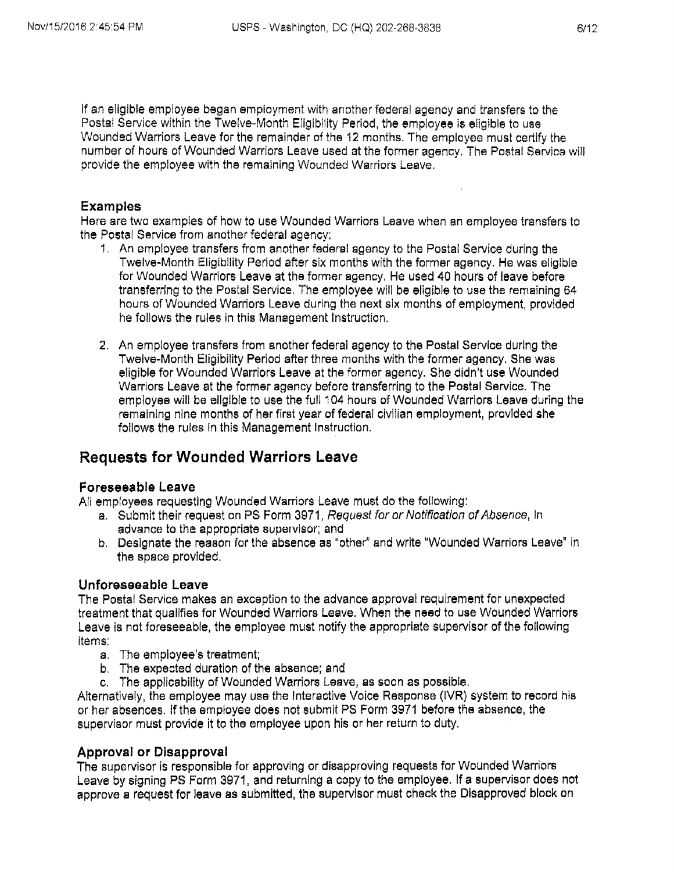If an eligible employee began employment with another federal agency and transfers to the Postal Service within the Twelve-Month Eligibility Period, the employee is eligible to use Wounded Warriors Leave for the remainder of the 12 months. The employee must certify the number of hours of Wounded Warriors Leave used at the former agency. The Postal Service will provide the employee with the remaining Wounded Warriors Leave.

### **Examples**

Here are two examples of how to use Wounded Warriors Leave when an employee transfers to the Postal Service from another federal agency:

- 1. An employee transfers from another federal agency to the Postal Service during the Twelve-Month Eligibility Period after six months with the former agency. He was eligible for Wounded Warriors Leave at the former agency. He used 40 hours of leave before transferring to the Postal Service. The employee will be eligible to use the remaining 64 hours of Wounded Warriors Leave during the next slx months of employment, provided he follows the rules in this Management Instruction.
- 2. An employee transfers from another federal agency to the Postal Service during the Twelve-Month Eligibility Period after three months with the former agency. She was eligible for Wounded Warriors Leave at the former agency. She didn't use Wounded Warriors Leave at the former agency before transferring to the Postal Service. The employee will be eligible to use the full 104 hours of Wounded Warriors Leave during the remaining nine months of her first year of federal civilian employment, provided she follows the rules in this Management Instruction.

## **Requests for Wounded Warriors Leave**

#### **Foreseeable Leave**

All employees requesting Wounded Warriors Leave must do the following:

- a. Submit their request on PS Form 3971, Request for or Notification of Absence, In advance to the appropriate supervisor; and
- b. Designate the reason for the absence as "other" and write "Wounded Warriors Leave" in the space provided.

#### **Unforeseeable Leave**

The Postal Service makes an exception to the advance approval requirement for unexpected treatment that qualifies for Wounded Warriors Leave. When the need to use Wounded Warriors Leave is not foreseeable, the employee must notify the appropriate supervisor of the following Items:

- a. The employee's treatment;
- b. The expected duration of the absence: and
- c. The applicability of Wounded Warriors Leave, as soon as possible.

Alternatively, the employee may use the Interactive Voice Response {IVR) system to record his or her absences. If the employee does not submit PS Form 3971 before the absence, the supervisor must provide it to the employee upon his or her return to duty.

#### **Approval or Disapproval**

The supervisor is responsible for approving or disapproving requests for Wounded Warriors Leave by signing PS Form 3971, and returning a copy to the employee. If a supervisor does not approve a request for leave as submitted, the supervisor must check the Disapproved block on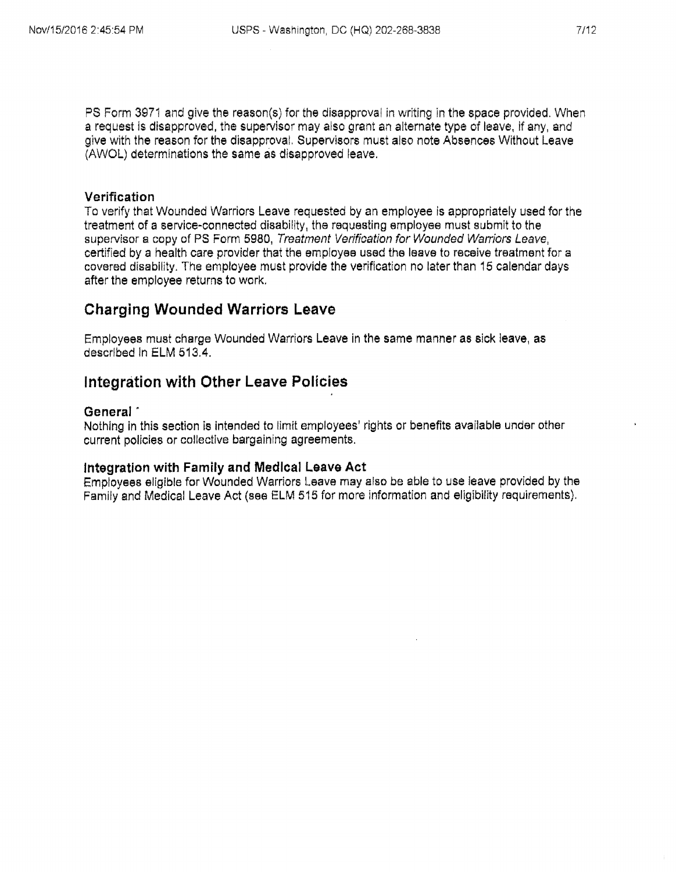PS Form 3971 and give the reason(s) for the disapproval in writing in the space provided. When

a request is disapproved, the supervisor may also grant an alternate type of leave, If any, and give with the reason for the disapproval. Supervisors must also note Absences Without Leave (AWOL) determinations the same as disapproved leave.

### Verification

To verify that Wounded Warriors Leave requested by an employee is appropriately used for the treatment of a service-connected disability, the requesting employee must submit to the supervisor a copy of PS Form 5980, Treatment Verification for Wounded Warriors Leave, certified by a health care provider that the employee used the leave to receive treatment for a covered disability. The employee must provide the verification no later than 15 calendar days after the employee returns to work.

## Charging Wounded Warriors Leave

Employees must charge Wounded Warriors Leave in the same manner as sick leave, as described In ELM 513.4.

## Integration with Other Leave Policies

#### General<sup>\*</sup>

Nothing in this section is intended to limit employees' rights or benefits available under other current policies or collective bargaining agreements.

### Integration with Family and Medical Leave Act

Employees eligible for Wounded Warriors Leave may also be able to use leave provided by the Family and Medical Leave Act (see ELM 515 for more information and ellgibillty requirements).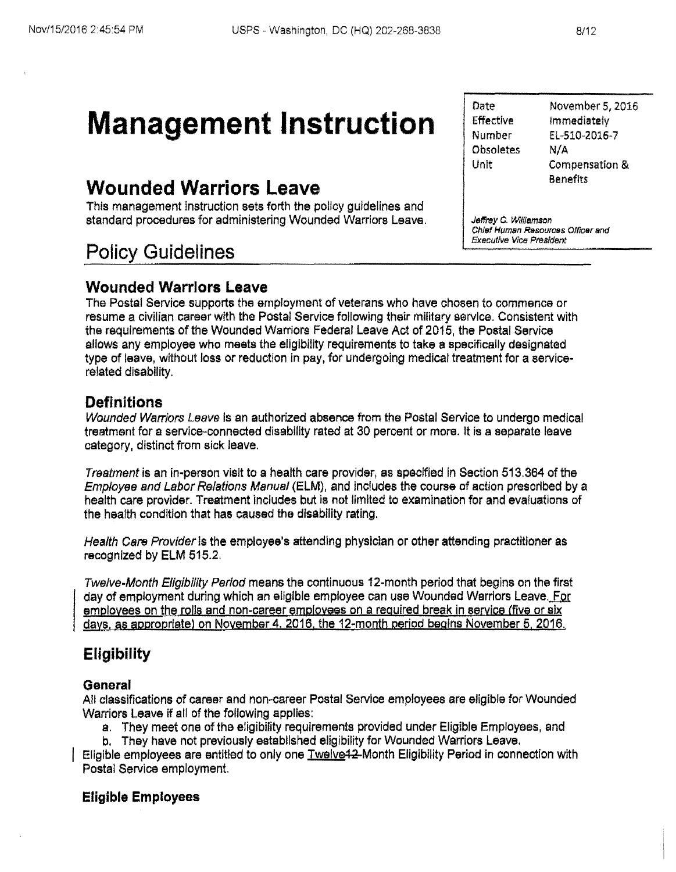# **Management Instruction**

## **Wounded Warriors Leave**

This management instruction sets forth the policy guidelines and standard procedures for administering Wounded Warriors Leave.

# **Policy Guidelines**

## **Wounded Warriors Leave**

The Postal Service supports the employment of veterans who have chosen to commence or resume a civilian career with the Postal Service following their military service. Consistent with the requirements of the Wounded Warriors Federal Leave Act of 2015, the Postal Service allows any employee who meets the eligibility requirements to take a specifically designated type of leave, without loss or reduction in pay, for undergoing medical treatment for a servicerelated disability.

## **Definitions**

Wounded Warriors Leave is an authorized absence from the Postal Service to undergo medical treatment for a service-connected disability rated at 30 percent or more. It is a separate leave category, distinct from sick leave.

Treatment is an in-person visit to a health care provider, as specified in Section 513.364 of the Employee and Labor Relations Manual (ELM), and includes the course of action prescribed by a health care provider. Treatment includes but is not limited to examination for and evaluations of the health condition that has caused the disability rating.

Health Care Provider is the employee's attending physician or other attending practitioner as recognized by ELM 515.2.

Twelve-Month Eligibility Period means the continuous 12-month period that begins on the first day of employment during which an eligible employee can use Wounded Warriors Leave. For employees on the rolls and non-career employees on a required break in service (five or six days, as appropriate) on November 4, 2016, the 12-month period begins November 5, 2016.

## **Eligibility**

## **General**

All classifications of career and non~career Postal Service employees are eligible for Wounded Warriors Leave if all of the following applies:

a. They meet one of the eligibility requirements provided under Eligible Employees, and

b. They have not previously established eligibility for Wounded Warriors Leave.

Eligible employees are entitled to only one Twelve<sup>42</sup>-Month Eligibility Period in connection with Postal Service employment

## **Eligible Employees**

Date **Effective** Number Obsoletes Unit November 5, 2016 Immediately El-510-2016~7 N/A Compensation & Benefits

Jeffrav C. Williamson Chief Human Resources Officer and Executive Vice President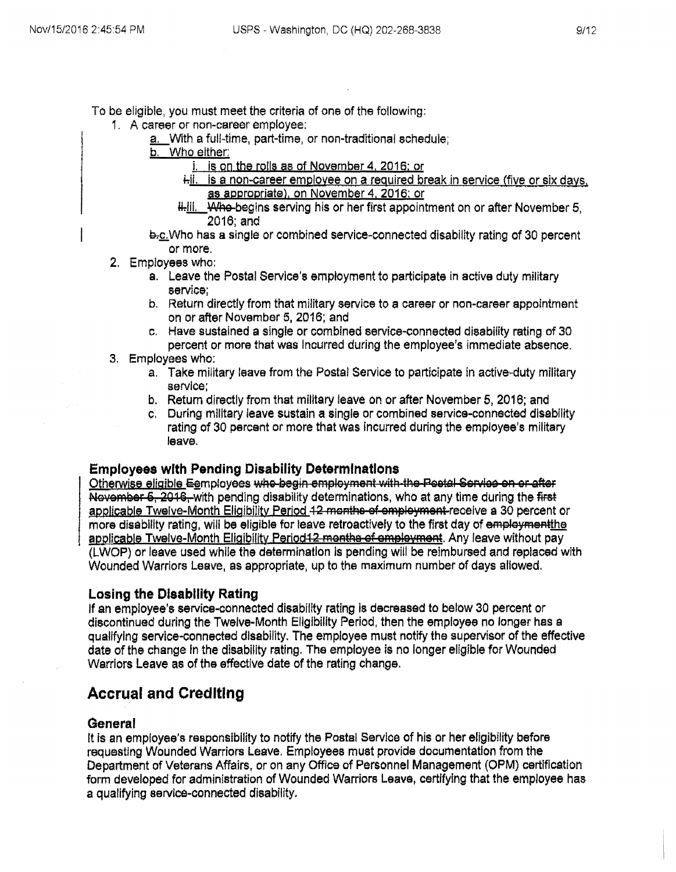To be eligible, you must meet the criteria of one of the following:

- 1. A career or non-career employee:
	- a. With a full-time, part-time, or non-traditional schedule;
	- b. Who either:
		- i. is on the rolls as of November 4, 2016; or
		- $H$ . Is a non-career employee on a required break in service (five or six days, as appropriate). on November 4. 2016: or
		- H-III. Who-begins serving his or her first appointment on or after November 5, 2016; and
	- thc.Who has a single or combined service~connected disability rating of 30 percent or more.
- 2. Employees who:
	- a. Leave the Postal Service's employment to participate in active duty military service;
	- b. Return directly from that military service to a career or non-career appointment on or after November 5, 2016; and
	- c. Have sustained a single or combined service-connected disability rating of 30 percent or more that was Incurred during the employee's immediate absence.
- 3. Employees who:
	- a. Take military leave from the Postal Service to participate in active~duty military service;
	- b. Return directly from that military leave on or after November 5, 2016; and
	- c. During military leave sustain a single or combined service-connected disability rating of 30 percent or more that was incurred during the employee's military leave.

## **Employees with Pending Disability Determinations**

Otherwise eligible Eemployees who begin employment with the Peetal Service on or after Nevember 6, 2016, with pending disability determinations, who at any time during the first applicable Twelve-Month Eligibility Period 12 menths of employment receive a 30 percent or more disability rating, will be eligible for leave retroactively to the first day of employment the applicable Twelve-Month Eligibility Period12 menths of employment. Any leave without pay (LWOP) or leave used while the determination Is pending will be reimbursed and replaced with Wounded Warriors Leave, as appropriate, up to the maximum number of days allowed.

## **Losing the Disability Rating**

If an employee's service-connected disability rating is decreased to below 30 percent or discontinued during the Twelve-Month Eligibility Period, then the employee no longer has a qualifying service~connected disability. The employee must notify the supervisor of the effective date of the change fn the disability rating. The employee is no longer eligible for Wounded Warriors Leave as of the effective date of the rating change.

## **Accrual and Crediting**

## **General**

It Is an employee's responsibility to notify the Postal Service of his or her eligibility before requesting Wounded Warriors Leave. Employees must provide documentation from the Department of Veterans Affairs, or on any Office of Personnel Management (OPM) certification form developed for administration of Wounded Warriors Leave, certifying that the employee has a qualifying service-connected disability.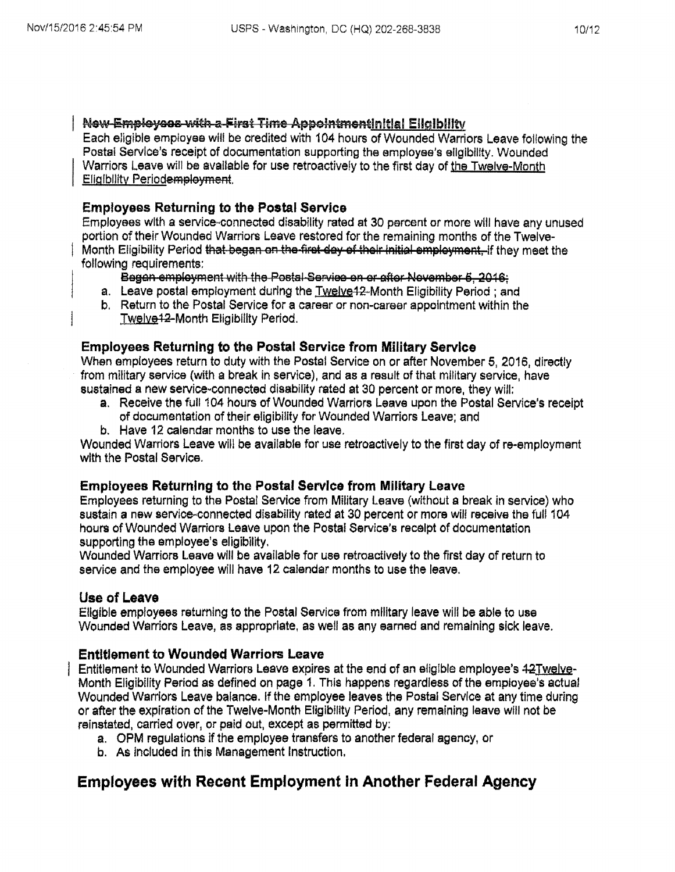## New Empleyees with a First Time Appointmentinitial Eligibility

Each eligible employee will be credited with 104 hours of Wounded Warriors Leave following the Postal Service's receipt of documentation supporting the employee's eligibility. Wounded Warriors Leave will be available for use retroactively to the first day of the Twelve-Month Eligibility Periodemployment.

## Employees Returning to the Postal Service

Employees with a service~connected disability rated at 30 percent or more will have any unused portion of their Wounded Warriors Leave restored for the remaining months of the Twelve-Month Eligibility Period that began on the firet day of their initial employment, if they meet the following requirements:

#### Began employment with the Postal Service on or after November 5, 2016;

- a. Leave postal employment during the Twelve 12-Month Eligibility Pertod ; and
- b. Return to the Postal Service for a career or non-career appointment within the Twelve12-Month Eligibility Period.

## Employees Returning to the Postal Service from Military Service

When employees return to duty with the Postal Service on or after November 5, 2016, directly from military service (with a break in service), and as a result of that military service, have sustained a new service~connected disability rated at 30 percent or more, they will:

- a. Receive the full 104 hours of Wounded Warriors Leave upon the Postal Service's receipt of documentation of their ellgibillty for Wounded Warriors Leave; and
- b. Have 12 calendar months to use the leave.

Wounded Warriors Leave will be available for use retroactively to the first day of re-employment with the Postal Service.

## Employees Returning to the Postal Service from Military leave

Employees returning to the Postal Service from Military Leave (without a break in service) who sustain a new service-connected disability rated at 30 percent or more will receive the full 104 hours of Wounded Warriors Leave upon the Postal Service's receipt of documentation supporting the employee's eligibility.

Wounded Warriors Leave will be available for use retroactively to the first day of return to service and the employee will have 12 calendar months to use the leave.

#### Use of Leave

Eligible employees returning to the Postal Service from military leave will be able to use Wounded Warriors Leave, as appropriate, as well as any earned and remaining sick leave.

## Entitlement to Wounded Warriors leave

Entitlement to Wounded Warriors Leave expires at the end of an eligible employee's 42Twelve-Month Eligibility Period as defined on page 1. This happens regardless of the employee's actual Wounded Warriors Leave balance. If the employee leaves the Postal Service at any time during or after the expiration of the Twelve-Month Eligibility Period, any remaining leave will not be reinstated, carried over, or paid out, except as permitted by:

- a. OPM regulations if the employee transfers to another federal agency, or
- b. As Included in this Management Instruction.

## Employees with Recent Employment In Another Federal Agency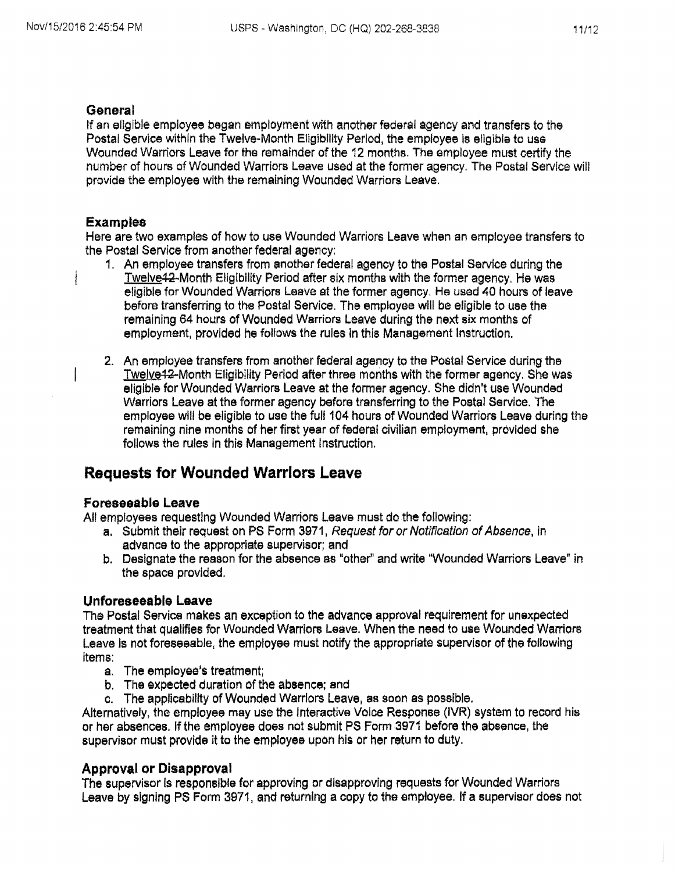### **General**

If an eligible employee began employment with another federal agency and transfers to the Postal Service within the Twelve-Month Eligibility Period, the employee is eligible to use Wounded Warriors Leave for the remainder of the 12 months. The employee must certify the number of hours of Wounded Warriors Leave used at the former agency. The Postal Service will provide the employee with the remaining Wounded Warriors Leave.

### **Examples**

Here are two examples of how to use Wounded Warriors Leave when an employee transfers to the Postal Service from another federal agency:

- 1. An employee transfers from another federal agency to the Postal Service during the Twelve42-Month Eligibility Period after six months with the former agency. He was eligible for Wounded Warriors Leave at the former agency. He used 40 hours of leave before transferring to the Postal Service. The employee will be eligible to use the remaining 64 hours of Wounded Warriors Leave during the next six months of employment, provided he follows the rules in this Management Instruction.
- 2. An employee transfers from another federal agency to the Postal Service during the Twelve42-Month Eligibility Period after three months with the former agency. She was eligible for Wounded Warriors Leave at the former agency. She didn't use Wounded Warriors Leave at the former agency before transferring to the Postal Service. The employee will be eligible to use the full 104 hours of Wounded Warriors Leave during the remaining nine months of her first year of federal civilian employment, provided she follows the rules in this Management Instruction.

## **Requests for Wounded Warriors Leave**

## **Foreseeable Leave**

AI! employees requesting Wounded Warriors Leave must do the following:

- a. Submit their request on PS Form 3971, Request for or Notification of Absence, in advance to the appropriate supervisor; and
- b. Designate the reason for the absence as "other'' and write "Wounded Warriors Leave" in the space provided.

#### **Unforeseeable Leave**

The Postal Service makes an exception to the advance approval requirement for unexpected treatment that qualifies for Wounded Warriors Leave. When the need to use Wounded Warriors Leave Is not foreseeable, the employee must notify the appropriate supervisor of the following items:

- a. The employee's treatment;
- b. The expected duration of the absence; and
- c. The applicability of Wounded Warriors Leave, as soon as possible.

Alternatively, the employee may use the Interactive Voice Response (IVR) system to record his or her absences. If the employee does not submit PS Form 3971 before the absence, the supervisor must provide it to the employee upon his or her return to duty.

## **Approval or Disapproval**

The supervisor Is responsible for approving or disapproving requests for Wounded Warriors Leave by signing PS Form 3971, and returning a copy to the employee. If a supervisor does not